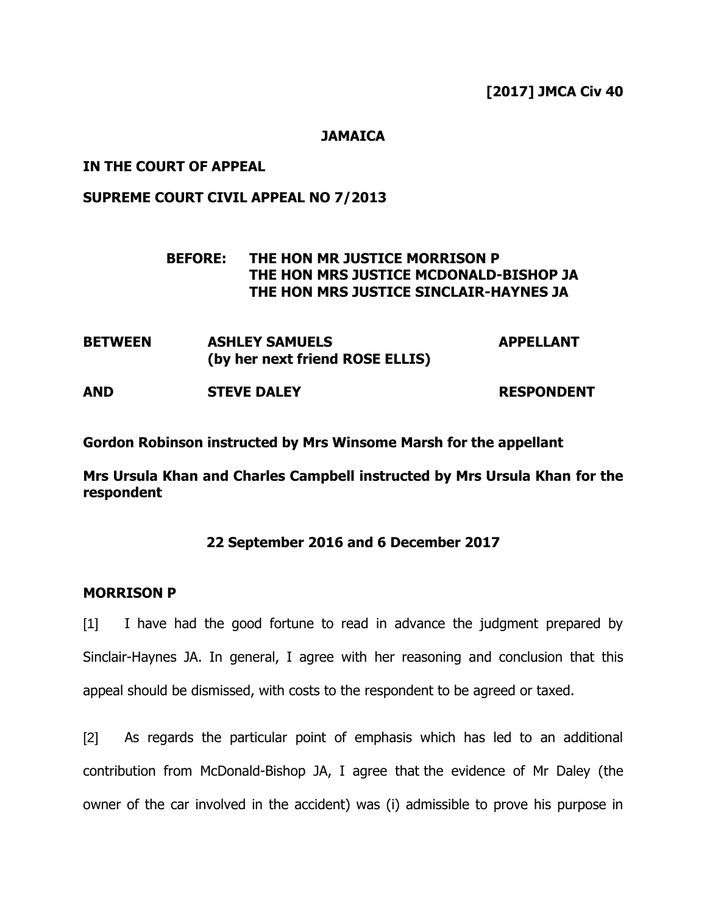**[2017] JMCA Civ 40**

**JAMAICA**

#### **IN THE COURT OF APPEAL**

## **SUPREME COURT CIVIL APPEAL NO 7/2013**

## **BEFORE: THE HON MR JUSTICE MORRISON P THE HON MRS JUSTICE MCDONALD-BISHOP JA THE HON MRS JUSTICE SINCLAIR-HAYNES JA**

| <b>BETWEEN</b> | <b>ASHLEY SAMUELS</b><br>(by her next friend ROSE ELLIS) | <b>APPELLANT</b>  |
|----------------|----------------------------------------------------------|-------------------|
| <b>AND</b>     | <b>STEVE DALEY</b>                                       | <b>RESPONDENT</b> |

**Gordon Robinson instructed by Mrs Winsome Marsh for the appellant**

**Mrs Ursula Khan and Charles Campbell instructed by Mrs Ursula Khan for the respondent**

#### **22 September 2016 and 6 December 2017**

#### **MORRISON P**

[1] I have had the good fortune to read in advance the judgment prepared by Sinclair-Haynes JA. In general, I agree with her reasoning and conclusion that this appeal should be dismissed, with costs to the respondent to be agreed or taxed.

[2] As regards the particular point of emphasis which has led to an additional contribution from McDonald-Bishop JA, I agree that the evidence of Mr Daley (the owner of the car involved in the accident) was (i) admissible to prove his purpose in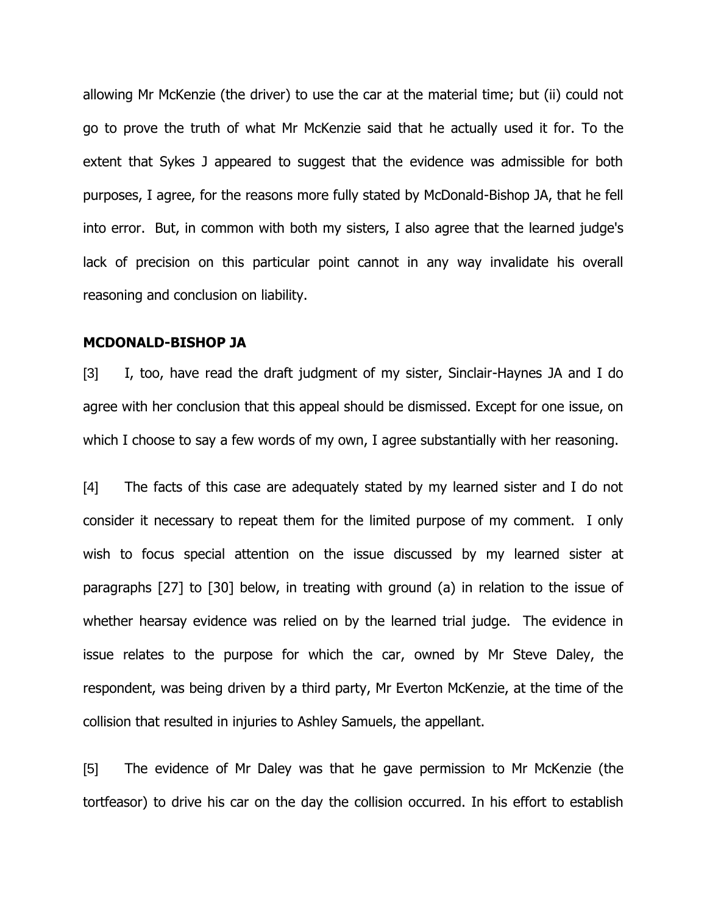allowing Mr McKenzie (the driver) to use the car at the material time; but (ii) could not go to prove the truth of what Mr McKenzie said that he actually used it for. To the extent that Sykes J appeared to suggest that the evidence was admissible for both purposes, I agree, for the reasons more fully stated by McDonald-Bishop JA, that he fell into error. But, in common with both my sisters, I also agree that the learned judge's lack of precision on this particular point cannot in any way invalidate his overall reasoning and conclusion on liability.

#### **MCDONALD-BISHOP JA**

[3] I, too, have read the draft judgment of my sister, Sinclair-Haynes JA and I do agree with her conclusion that this appeal should be dismissed. Except for one issue, on which I choose to say a few words of my own, I agree substantially with her reasoning.

[4] The facts of this case are adequately stated by my learned sister and I do not consider it necessary to repeat them for the limited purpose of my comment. I only wish to focus special attention on the issue discussed by my learned sister at paragraphs [27] to [30] below, in treating with ground (a) in relation to the issue of whether hearsay evidence was relied on by the learned trial judge. The evidence in issue relates to the purpose for which the car, owned by Mr Steve Daley, the respondent, was being driven by a third party, Mr Everton McKenzie, at the time of the collision that resulted in injuries to Ashley Samuels, the appellant.

[5] The evidence of Mr Daley was that he gave permission to Mr McKenzie (the tortfeasor) to drive his car on the day the collision occurred. In his effort to establish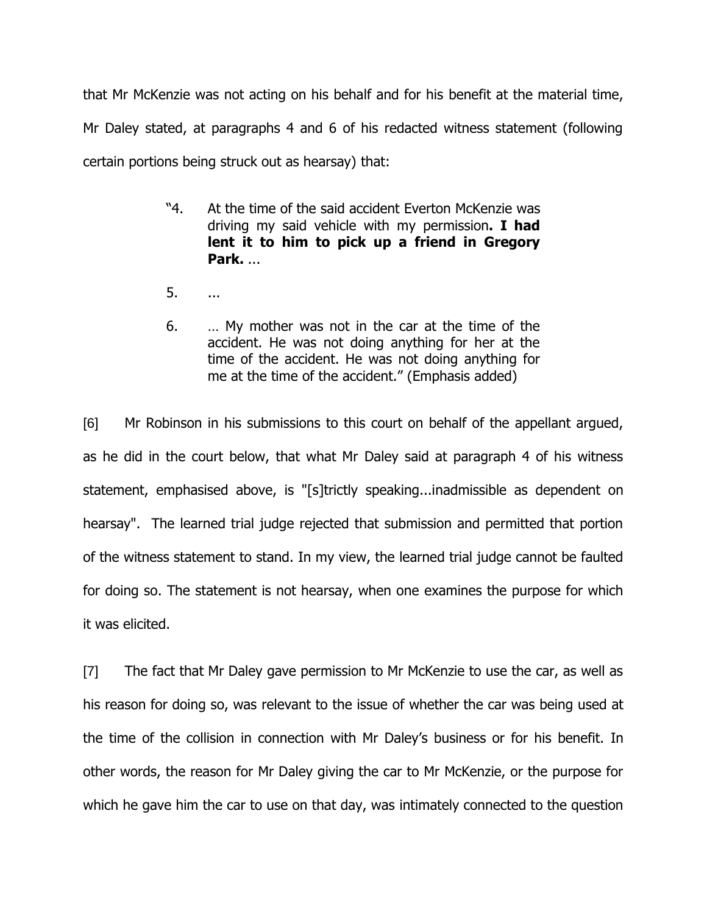that Mr McKenzie was not acting on his behalf and for his benefit at the material time, Mr Daley stated, at paragraphs 4 and 6 of his redacted witness statement (following certain portions being struck out as hearsay) that:

- "4. At the time of the said accident Everton McKenzie was driving my said vehicle with my permission**. I had lent it to him to pick up a friend in Gregory Park.** ...
- 5. ...
- 6. … My mother was not in the car at the time of the accident. He was not doing anything for her at the time of the accident. He was not doing anything for me at the time of the accident." (Emphasis added)

[6] Mr Robinson in his submissions to this court on behalf of the appellant argued, as he did in the court below, that what Mr Daley said at paragraph 4 of his witness statement, emphasised above, is "[s]trictly speaking...inadmissible as dependent on hearsay". The learned trial judge rejected that submission and permitted that portion of the witness statement to stand. In my view, the learned trial judge cannot be faulted for doing so. The statement is not hearsay, when one examines the purpose for which it was elicited.

[7] The fact that Mr Daley gave permission to Mr McKenzie to use the car, as well as his reason for doing so, was relevant to the issue of whether the car was being used at the time of the collision in connection with Mr Daley"s business or for his benefit. In other words, the reason for Mr Daley giving the car to Mr McKenzie, or the purpose for which he gave him the car to use on that day, was intimately connected to the question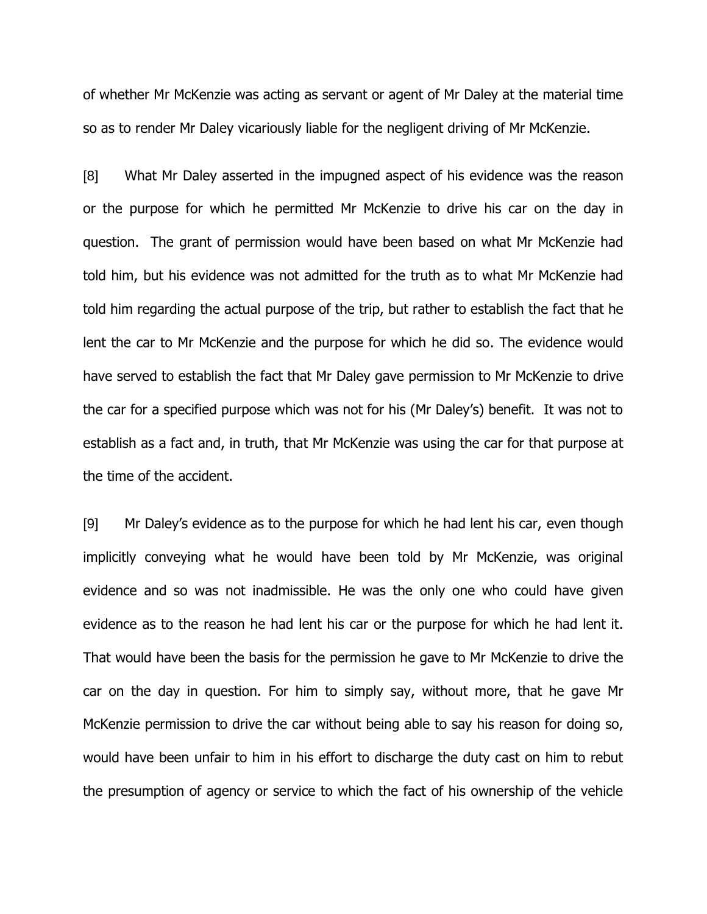of whether Mr McKenzie was acting as servant or agent of Mr Daley at the material time so as to render Mr Daley vicariously liable for the negligent driving of Mr McKenzie.

[8] What Mr Daley asserted in the impugned aspect of his evidence was the reason or the purpose for which he permitted Mr McKenzie to drive his car on the day in question. The grant of permission would have been based on what Mr McKenzie had told him, but his evidence was not admitted for the truth as to what Mr McKenzie had told him regarding the actual purpose of the trip, but rather to establish the fact that he lent the car to Mr McKenzie and the purpose for which he did so. The evidence would have served to establish the fact that Mr Daley gave permission to Mr McKenzie to drive the car for a specified purpose which was not for his (Mr Daley"s) benefit. It was not to establish as a fact and, in truth, that Mr McKenzie was using the car for that purpose at the time of the accident.

[9] Mr Daley"s evidence as to the purpose for which he had lent his car, even though implicitly conveying what he would have been told by Mr McKenzie, was original evidence and so was not inadmissible. He was the only one who could have given evidence as to the reason he had lent his car or the purpose for which he had lent it. That would have been the basis for the permission he gave to Mr McKenzie to drive the car on the day in question. For him to simply say, without more, that he gave Mr McKenzie permission to drive the car without being able to say his reason for doing so, would have been unfair to him in his effort to discharge the duty cast on him to rebut the presumption of agency or service to which the fact of his ownership of the vehicle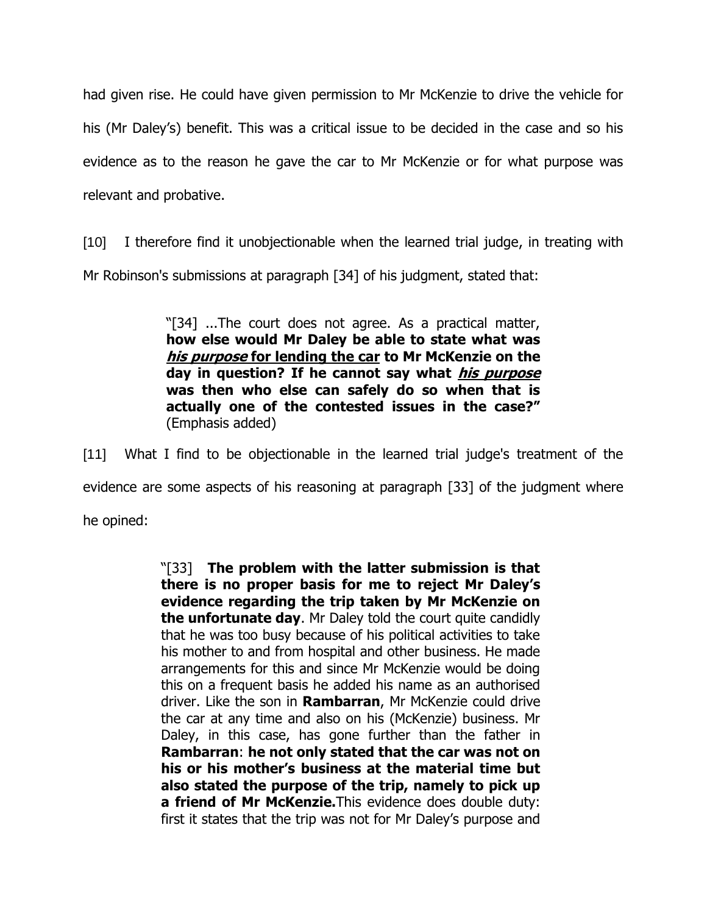had given rise. He could have given permission to Mr McKenzie to drive the vehicle for his (Mr Daley"s) benefit. This was a critical issue to be decided in the case and so his evidence as to the reason he gave the car to Mr McKenzie or for what purpose was relevant and probative.

[10] I therefore find it unobjectionable when the learned trial judge, in treating with

Mr Robinson's submissions at paragraph [34] of his judgment, stated that:

"[34] ...The court does not agree. As a practical matter, **how else would Mr Daley be able to state what was his purpose for lending the car to Mr McKenzie on the day in question? If he cannot say what his purpose was then who else can safely do so when that is actually one of the contested issues in the case?"** (Emphasis added)

[11] What I find to be objectionable in the learned trial judge's treatment of the evidence are some aspects of his reasoning at paragraph [33] of the judgment where he opined:

> "[33] **The problem with the latter submission is that there is no proper basis for me to reject Mr Daley's evidence regarding the trip taken by Mr McKenzie on the unfortunate day**. Mr Daley told the court quite candidly that he was too busy because of his political activities to take his mother to and from hospital and other business. He made arrangements for this and since Mr McKenzie would be doing this on a frequent basis he added his name as an authorised driver. Like the son in **Rambarran**, Mr McKenzie could drive the car at any time and also on his (McKenzie) business. Mr Daley, in this case, has gone further than the father in **Rambarran**: **he not only stated that the car was not on his or his mother's business at the material time but also stated the purpose of the trip, namely to pick up a friend of Mr McKenzie.**This evidence does double duty: first it states that the trip was not for Mr Daley's purpose and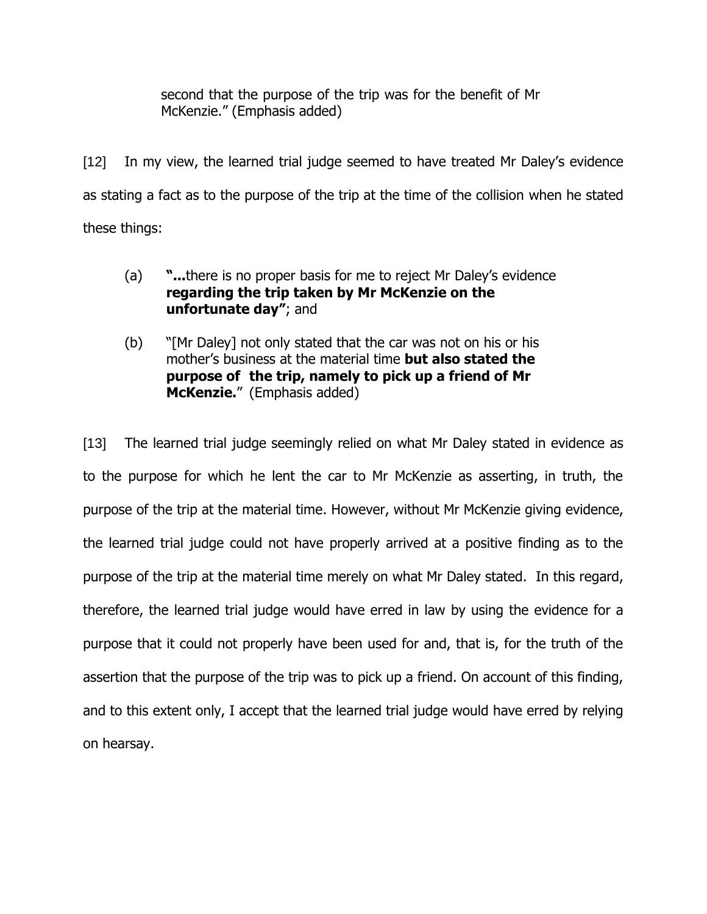second that the purpose of the trip was for the benefit of Mr McKenzie." (Emphasis added)

[12] In my view, the learned trial judge seemed to have treated Mr Daley"s evidence as stating a fact as to the purpose of the trip at the time of the collision when he stated these things:

- (a) **"...**there is no proper basis for me to reject Mr Daley"s evidence **regarding the trip taken by Mr McKenzie on the unfortunate day"**; and
- (b) "[Mr Daley] not only stated that the car was not on his or his mother"s business at the material time **but also stated the purpose of the trip, namely to pick up a friend of Mr McKenzie.**" (Emphasis added)

[13] The learned trial judge seemingly relied on what Mr Daley stated in evidence as to the purpose for which he lent the car to Mr McKenzie as asserting, in truth, the purpose of the trip at the material time. However, without Mr McKenzie giving evidence, the learned trial judge could not have properly arrived at a positive finding as to the purpose of the trip at the material time merely on what Mr Daley stated. In this regard, therefore, the learned trial judge would have erred in law by using the evidence for a purpose that it could not properly have been used for and, that is, for the truth of the assertion that the purpose of the trip was to pick up a friend. On account of this finding, and to this extent only, I accept that the learned trial judge would have erred by relying on hearsay.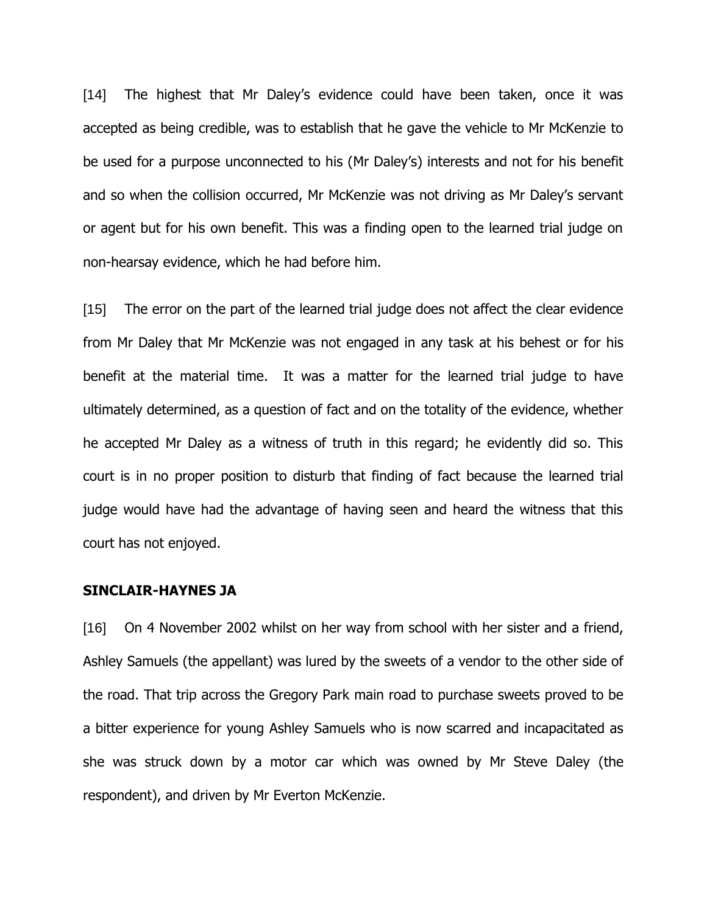[14] The highest that Mr Daley's evidence could have been taken, once it was accepted as being credible, was to establish that he gave the vehicle to Mr McKenzie to be used for a purpose unconnected to his (Mr Daley"s) interests and not for his benefit and so when the collision occurred, Mr McKenzie was not driving as Mr Daley"s servant or agent but for his own benefit. This was a finding open to the learned trial judge on non-hearsay evidence, which he had before him.

[15] The error on the part of the learned trial judge does not affect the clear evidence from Mr Daley that Mr McKenzie was not engaged in any task at his behest or for his benefit at the material time. It was a matter for the learned trial judge to have ultimately determined, as a question of fact and on the totality of the evidence, whether he accepted Mr Daley as a witness of truth in this regard; he evidently did so. This court is in no proper position to disturb that finding of fact because the learned trial judge would have had the advantage of having seen and heard the witness that this court has not enjoyed.

#### **SINCLAIR-HAYNES JA**

[16] On 4 November 2002 whilst on her way from school with her sister and a friend, Ashley Samuels (the appellant) was lured by the sweets of a vendor to the other side of the road. That trip across the Gregory Park main road to purchase sweets proved to be a bitter experience for young Ashley Samuels who is now scarred and incapacitated as she was struck down by a motor car which was owned by Mr Steve Daley (the respondent), and driven by Mr Everton McKenzie.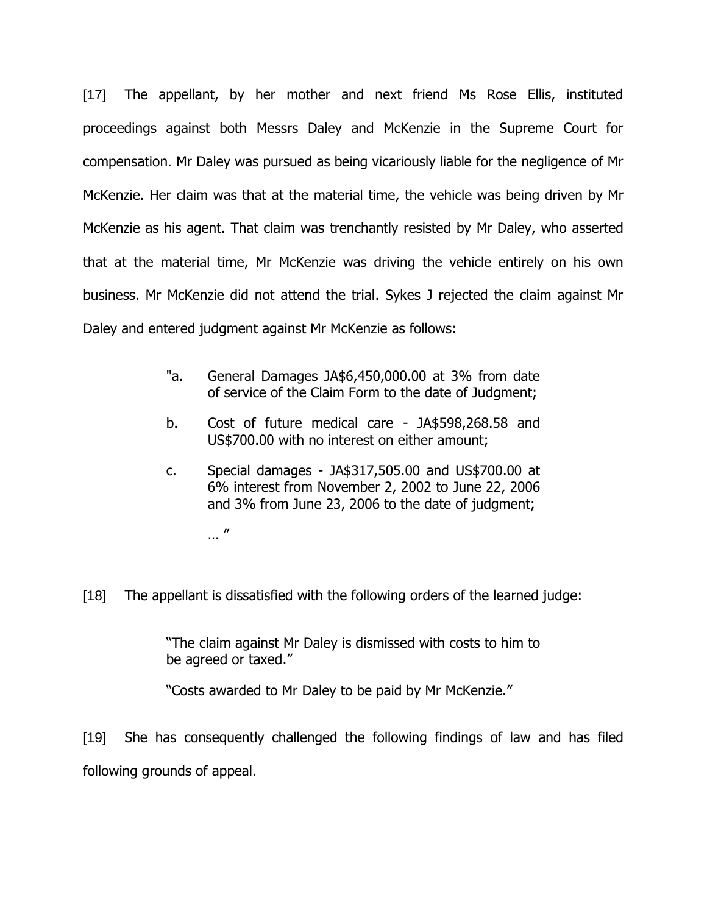[17] The appellant, by her mother and next friend Ms Rose Ellis, instituted proceedings against both Messrs Daley and McKenzie in the Supreme Court for compensation. Mr Daley was pursued as being vicariously liable for the negligence of Mr McKenzie. Her claim was that at the material time, the vehicle was being driven by Mr McKenzie as his agent. That claim was trenchantly resisted by Mr Daley, who asserted that at the material time, Mr McKenzie was driving the vehicle entirely on his own business. Mr McKenzie did not attend the trial. Sykes J rejected the claim against Mr Daley and entered judgment against Mr McKenzie as follows:

- "a. General Damages JA\$6,450,000.00 at 3% from date of service of the Claim Form to the date of Judgment;
- b. Cost of future medical care JA\$598,268.58 and US\$700.00 with no interest on either amount;
- c. Special damages JA\$317,505.00 and US\$700.00 at 6% interest from November 2, 2002 to June 22, 2006 and 3% from June 23, 2006 to the date of judgment; … "
- [18] The appellant is dissatisfied with the following orders of the learned judge:

"The claim against Mr Daley is dismissed with costs to him to be agreed or taxed."

"Costs awarded to Mr Daley to be paid by Mr McKenzie."

[19] She has consequently challenged the following findings of law and has filed following grounds of appeal.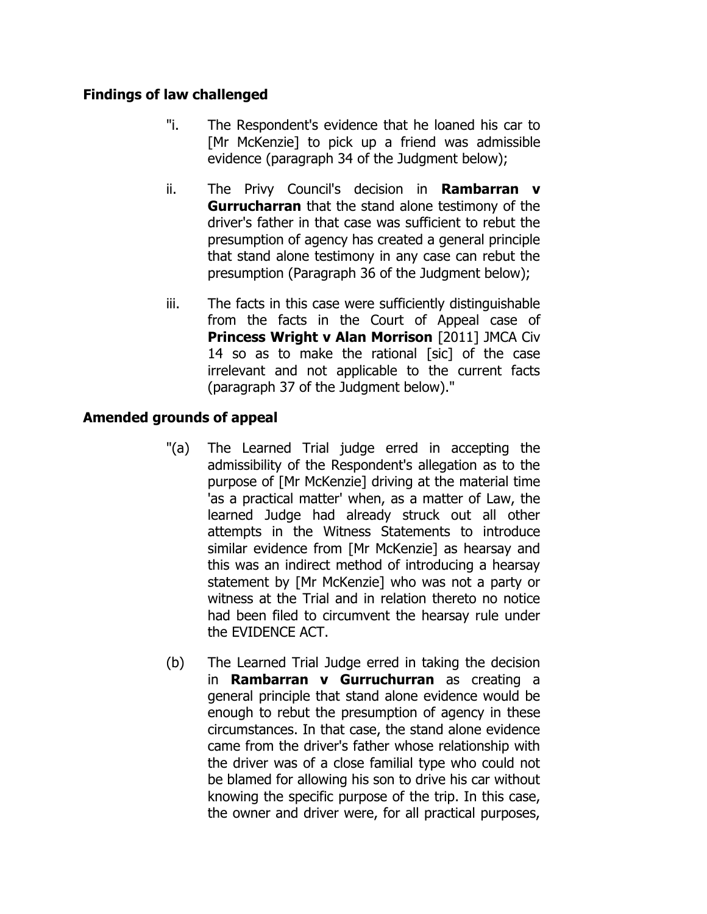## **Findings of law challenged**

- "i. The Respondent's evidence that he loaned his car to [Mr McKenzie] to pick up a friend was admissible evidence (paragraph 34 of the Judgment below);
- ii. The Privy Council's decision in **Rambarran v Gurrucharran** that the stand alone testimony of the driver's father in that case was sufficient to rebut the presumption of agency has created a general principle that stand alone testimony in any case can rebut the presumption (Paragraph 36 of the Judgment below);
- iii. The facts in this case were sufficiently distinguishable from the facts in the Court of Appeal case of **Princess Wright v Alan Morrison** [2011] JMCA Civ 14 so as to make the rational [sic] of the case irrelevant and not applicable to the current facts (paragraph 37 of the Judgment below)."

# **Amended grounds of appeal**

- "(a) The Learned Trial judge erred in accepting the admissibility of the Respondent's allegation as to the purpose of [Mr McKenzie] driving at the material time 'as a practical matter' when, as a matter of Law, the learned Judge had already struck out all other attempts in the Witness Statements to introduce similar evidence from [Mr McKenzie] as hearsay and this was an indirect method of introducing a hearsay statement by [Mr McKenzie] who was not a party or witness at the Trial and in relation thereto no notice had been filed to circumvent the hearsay rule under the EVIDENCE ACT.
- (b) The Learned Trial Judge erred in taking the decision in **Rambarran v Gurruchurran** as creating a general principle that stand alone evidence would be enough to rebut the presumption of agency in these circumstances. In that case, the stand alone evidence came from the driver's father whose relationship with the driver was of a close familial type who could not be blamed for allowing his son to drive his car without knowing the specific purpose of the trip. In this case, the owner and driver were, for all practical purposes,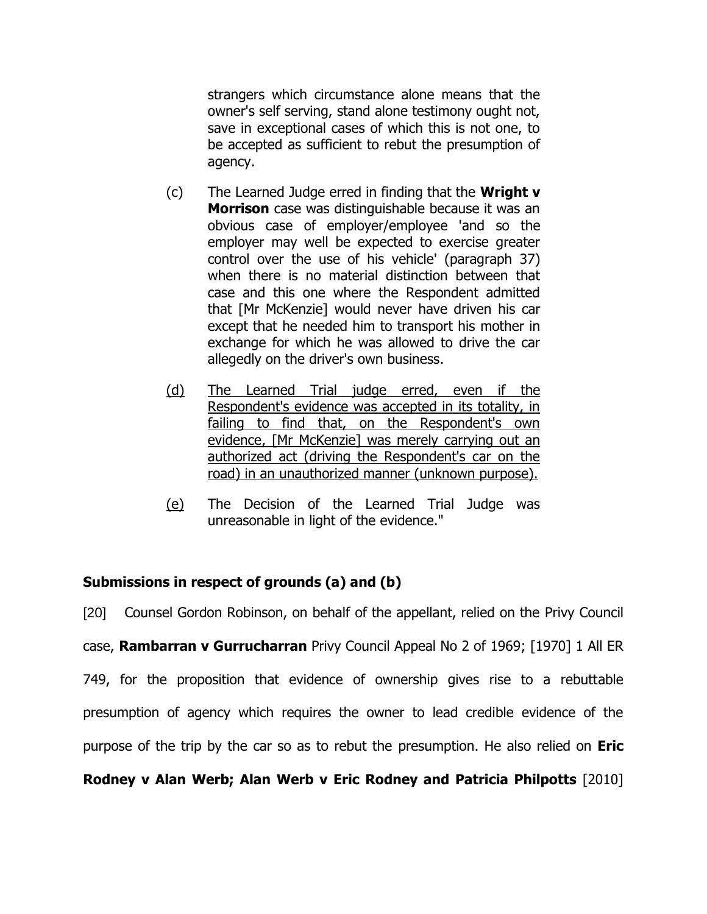strangers which circumstance alone means that the owner's self serving, stand alone testimony ought not, save in exceptional cases of which this is not one, to be accepted as sufficient to rebut the presumption of agency.

- (c) The Learned Judge erred in finding that the **Wright v Morrison** case was distinguishable because it was an obvious case of employer/employee 'and so the employer may well be expected to exercise greater control over the use of his vehicle' (paragraph 37) when there is no material distinction between that case and this one where the Respondent admitted that [Mr McKenzie] would never have driven his car except that he needed him to transport his mother in exchange for which he was allowed to drive the car allegedly on the driver's own business.
- (d) The Learned Trial judge erred, even if the Respondent's evidence was accepted in its totality, in failing to find that, on the Respondent's own evidence, [Mr McKenzie] was merely carrying out an authorized act (driving the Respondent's car on the road) in an unauthorized manner (unknown purpose).
- (e) The Decision of the Learned Trial Judge was unreasonable in light of the evidence."

## **Submissions in respect of grounds (a) and (b)**

[20] Counsel Gordon Robinson, on behalf of the appellant, relied on the Privy Council case, **Rambarran v Gurrucharran** Privy Council Appeal No 2 of 1969; [1970] 1 All ER 749, for the proposition that evidence of ownership gives rise to a rebuttable presumption of agency which requires the owner to lead credible evidence of the purpose of the trip by the car so as to rebut the presumption. He also relied on **Eric Rodney v Alan Werb; Alan Werb v Eric Rodney and Patricia Philpotts** [2010]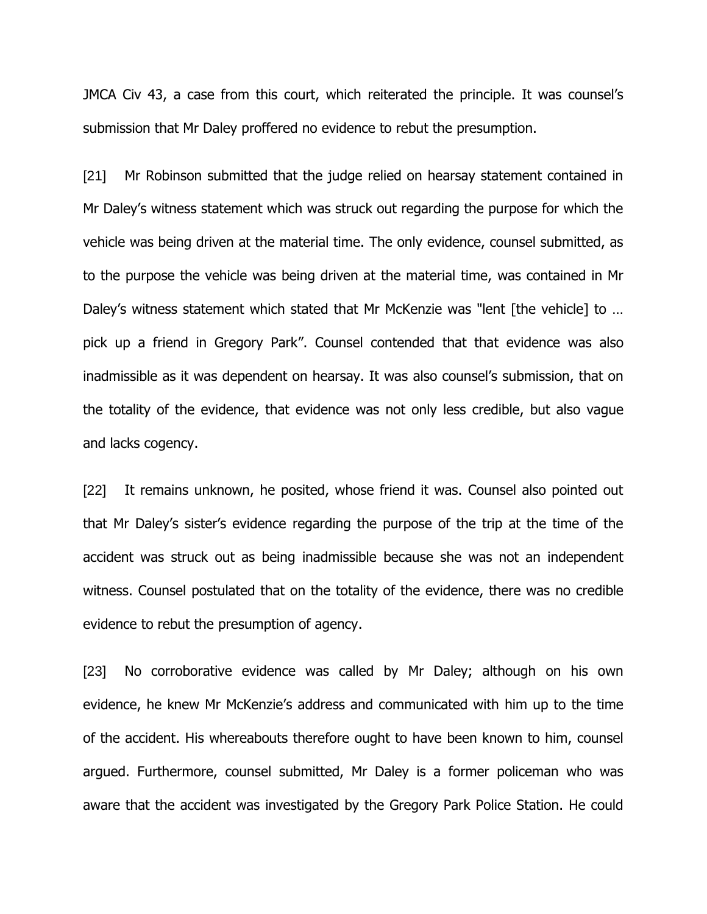JMCA Civ 43, a case from this court, which reiterated the principle. It was counsel"s submission that Mr Daley proffered no evidence to rebut the presumption.

[21] Mr Robinson submitted that the judge relied on hearsay statement contained in Mr Daley"s witness statement which was struck out regarding the purpose for which the vehicle was being driven at the material time. The only evidence, counsel submitted, as to the purpose the vehicle was being driven at the material time, was contained in Mr Daley's witness statement which stated that Mr McKenzie was "lent [the vehicle] to ... pick up a friend in Gregory Park". Counsel contended that that evidence was also inadmissible as it was dependent on hearsay. It was also counsel"s submission, that on the totality of the evidence, that evidence was not only less credible, but also vague and lacks cogency.

[22] It remains unknown, he posited, whose friend it was. Counsel also pointed out that Mr Daley"s sister"s evidence regarding the purpose of the trip at the time of the accident was struck out as being inadmissible because she was not an independent witness. Counsel postulated that on the totality of the evidence, there was no credible evidence to rebut the presumption of agency.

[23] No corroborative evidence was called by Mr Daley; although on his own evidence, he knew Mr McKenzie"s address and communicated with him up to the time of the accident. His whereabouts therefore ought to have been known to him, counsel argued. Furthermore, counsel submitted, Mr Daley is a former policeman who was aware that the accident was investigated by the Gregory Park Police Station. He could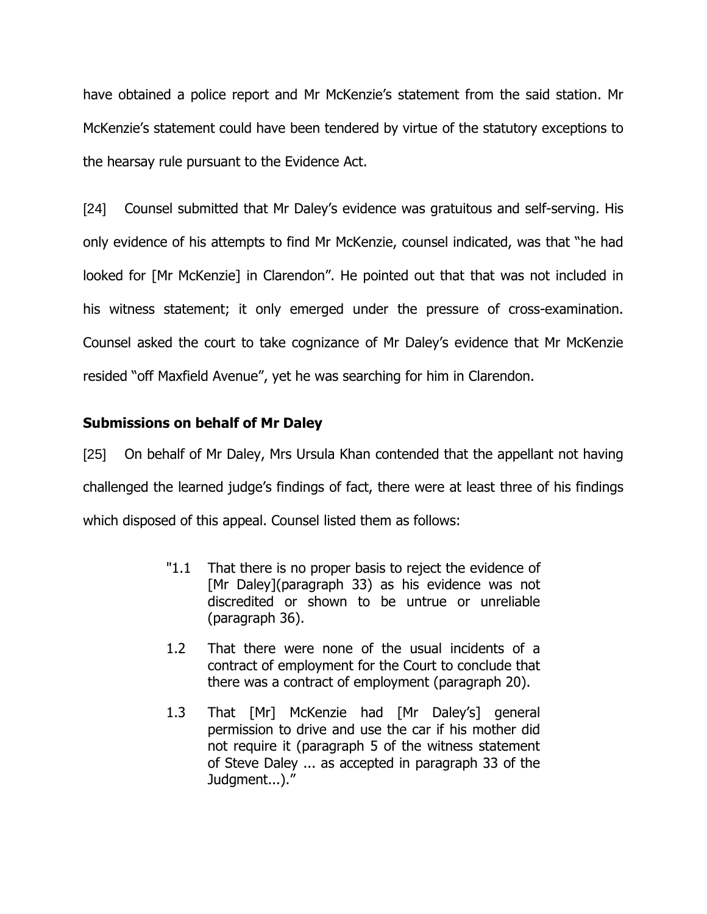have obtained a police report and Mr McKenzie's statement from the said station. Mr McKenzie"s statement could have been tendered by virtue of the statutory exceptions to the hearsay rule pursuant to the Evidence Act.

[24] Counsel submitted that Mr Daley's evidence was gratuitous and self-serving. His only evidence of his attempts to find Mr McKenzie, counsel indicated, was that "he had looked for [Mr McKenzie] in Clarendon". He pointed out that that was not included in his witness statement; it only emerged under the pressure of cross-examination. Counsel asked the court to take cognizance of Mr Daley"s evidence that Mr McKenzie resided "off Maxfield Avenue", yet he was searching for him in Clarendon.

## **Submissions on behalf of Mr Daley**

[25] On behalf of Mr Daley, Mrs Ursula Khan contended that the appellant not having challenged the learned judge"s findings of fact, there were at least three of his findings which disposed of this appeal. Counsel listed them as follows:

- "1.1 That there is no proper basis to reject the evidence of [Mr Daley](paragraph 33) as his evidence was not discredited or shown to be untrue or unreliable (paragraph 36).
- 1.2 That there were none of the usual incidents of a contract of employment for the Court to conclude that there was a contract of employment (paragraph 20).
- 1.3 That [Mr] McKenzie had [Mr Daley"s] general permission to drive and use the car if his mother did not require it (paragraph 5 of the witness statement of Steve Daley ... as accepted in paragraph 33 of the Judgment...)."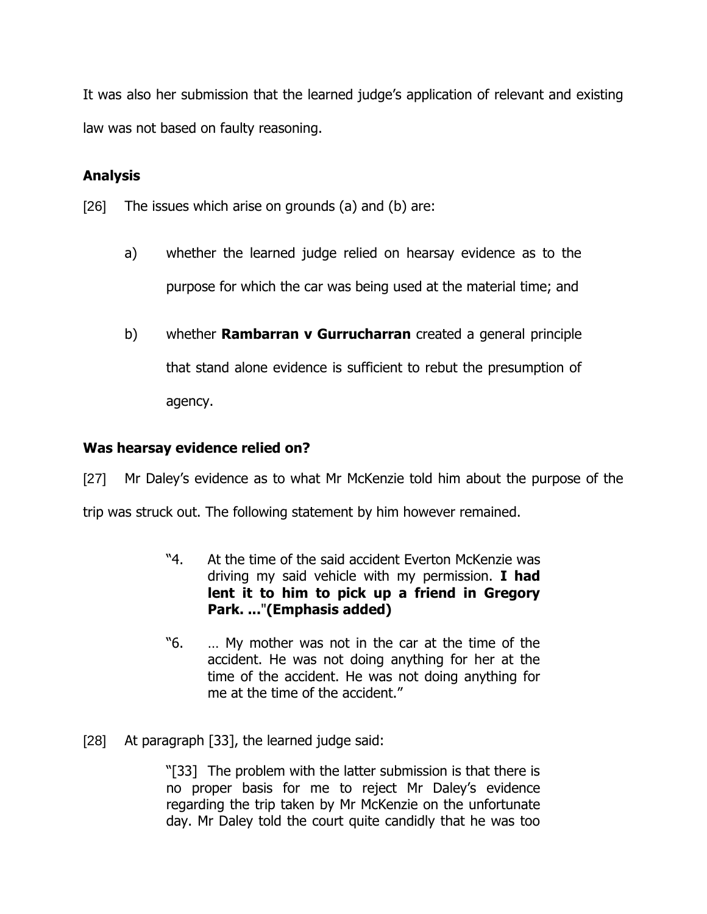It was also her submission that the learned judge's application of relevant and existing law was not based on faulty reasoning.

## **Analysis**

[26] The issues which arise on grounds (a) and (b) are:

- a) whether the learned judge relied on hearsay evidence as to the purpose for which the car was being used at the material time; and
- b) whether **Rambarran v Gurrucharran** created a general principle that stand alone evidence is sufficient to rebut the presumption of agency.

## **Was hearsay evidence relied on?**

[27] Mr Daley"s evidence as to what Mr McKenzie told him about the purpose of the trip was struck out. The following statement by him however remained.

- "4. At the time of the said accident Everton McKenzie was driving my said vehicle with my permission. **I had lent it to him to pick up a friend in Gregory Park. ...**"**(Emphasis added)**
- "6. … My mother was not in the car at the time of the accident. He was not doing anything for her at the time of the accident. He was not doing anything for me at the time of the accident."
- [28] At paragraph [33], the learned judge said:

"[33] The problem with the latter submission is that there is no proper basis for me to reject Mr Daley"s evidence regarding the trip taken by Mr McKenzie on the unfortunate day. Mr Daley told the court quite candidly that he was too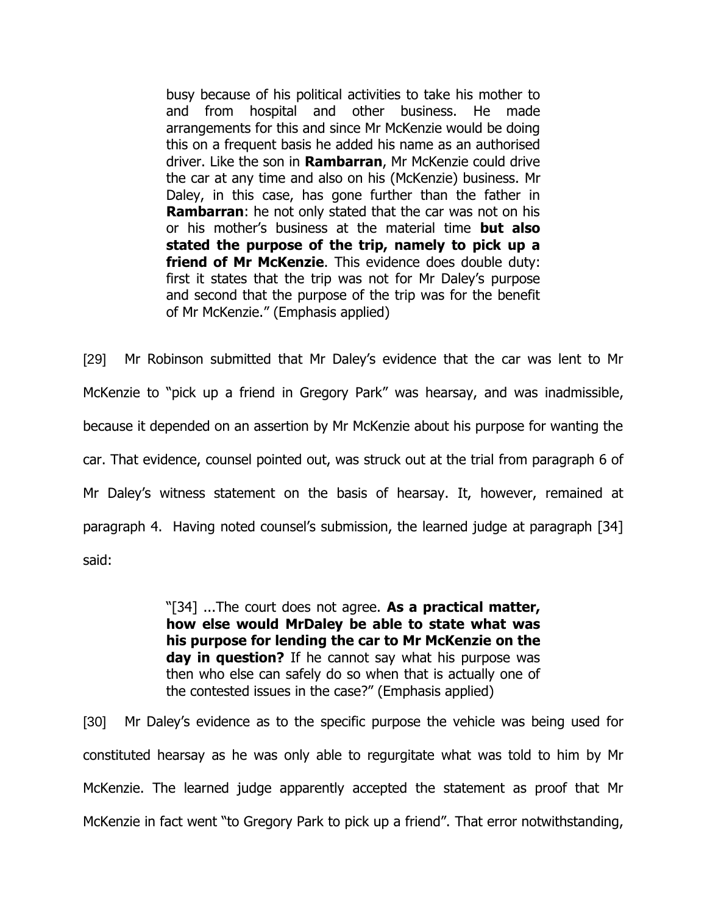busy because of his political activities to take his mother to and from hospital and other business. He made arrangements for this and since Mr McKenzie would be doing this on a frequent basis he added his name as an authorised driver. Like the son in **Rambarran**, Mr McKenzie could drive the car at any time and also on his (McKenzie) business. Mr Daley, in this case, has gone further than the father in **Rambarran**: he not only stated that the car was not on his or his mother"s business at the material time **but also stated the purpose of the trip, namely to pick up a friend of Mr McKenzie**. This evidence does double duty: first it states that the trip was not for Mr Daley"s purpose and second that the purpose of the trip was for the benefit of Mr McKenzie." (Emphasis applied)

[29] Mr Robinson submitted that Mr Daley"s evidence that the car was lent to Mr McKenzie to "pick up a friend in Gregory Park" was hearsay, and was inadmissible, because it depended on an assertion by Mr McKenzie about his purpose for wanting the car. That evidence, counsel pointed out, was struck out at the trial from paragraph 6 of Mr Daley"s witness statement on the basis of hearsay. It, however, remained at paragraph 4. Having noted counsel's submission, the learned judge at paragraph [34] said:

> "[34] ...The court does not agree. **As a practical matter, how else would MrDaley be able to state what was his purpose for lending the car to Mr McKenzie on the day in question?** If he cannot say what his purpose was then who else can safely do so when that is actually one of the contested issues in the case?" (Emphasis applied)

[30] Mr Daley"s evidence as to the specific purpose the vehicle was being used for constituted hearsay as he was only able to regurgitate what was told to him by Mr McKenzie. The learned judge apparently accepted the statement as proof that Mr McKenzie in fact went "to Gregory Park to pick up a friend". That error notwithstanding,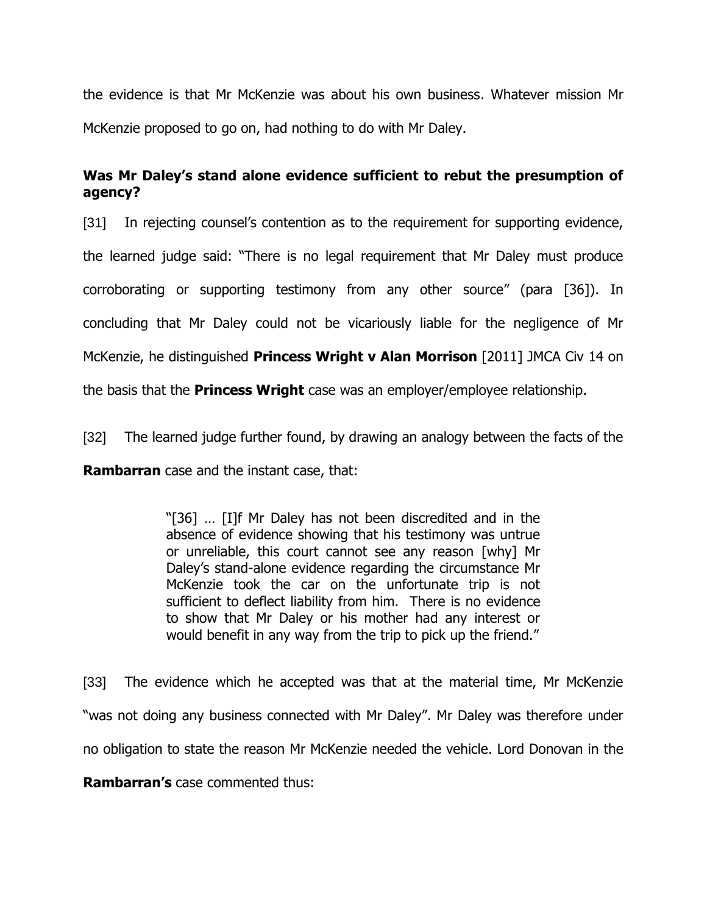the evidence is that Mr McKenzie was about his own business. Whatever mission Mr McKenzie proposed to go on, had nothing to do with Mr Daley.

## **Was Mr Daley's stand alone evidence sufficient to rebut the presumption of agency?**

[31] In rejecting counsel's contention as to the requirement for supporting evidence, the learned judge said: "There is no legal requirement that Mr Daley must produce corroborating or supporting testimony from any other source" (para [36]). In concluding that Mr Daley could not be vicariously liable for the negligence of Mr McKenzie, he distinguished **Princess Wright v Alan Morrison** [2011] JMCA Civ 14 on the basis that the **Princess Wright** case was an employer/employee relationship.

[32] The learned judge further found, by drawing an analogy between the facts of the **Rambarran** case and the instant case, that:

> "[36] … [I]f Mr Daley has not been discredited and in the absence of evidence showing that his testimony was untrue or unreliable, this court cannot see any reason [why] Mr Daley"s stand-alone evidence regarding the circumstance Mr McKenzie took the car on the unfortunate trip is not sufficient to deflect liability from him. There is no evidence to show that Mr Daley or his mother had any interest or would benefit in any way from the trip to pick up the friend."

[33] The evidence which he accepted was that at the material time, Mr McKenzie "was not doing any business connected with Mr Daley". Mr Daley was therefore under no obligation to state the reason Mr McKenzie needed the vehicle. Lord Donovan in the

**Rambarran's** case commented thus: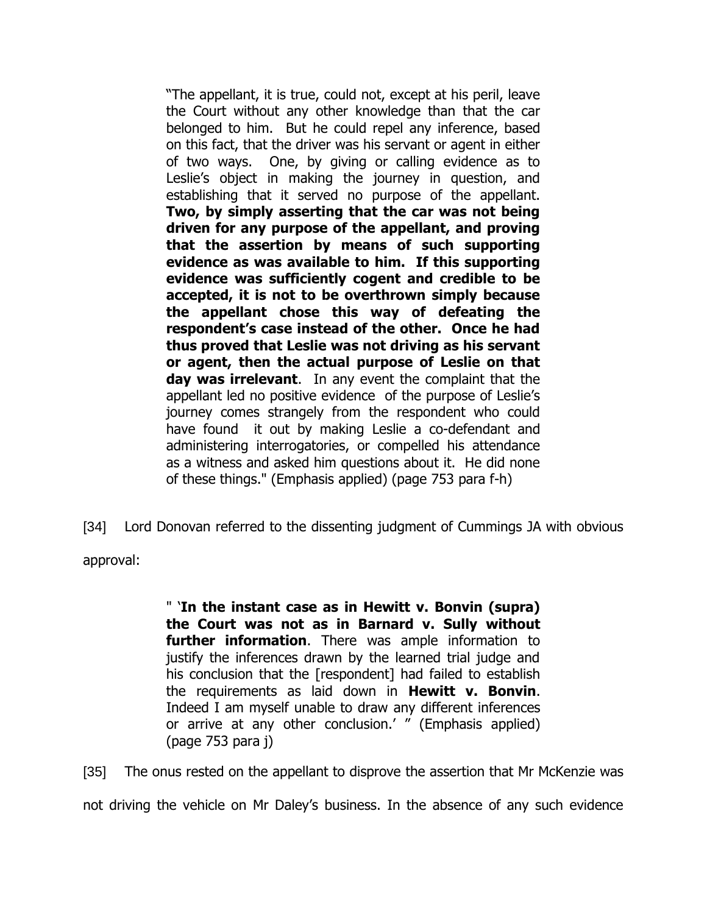"The appellant, it is true, could not, except at his peril, leave the Court without any other knowledge than that the car belonged to him. But he could repel any inference, based on this fact, that the driver was his servant or agent in either of two ways. One, by giving or calling evidence as to Leslie's object in making the journey in question, and establishing that it served no purpose of the appellant. **Two, by simply asserting that the car was not being driven for any purpose of the appellant, and proving that the assertion by means of such supporting evidence as was available to him. If this supporting evidence was sufficiently cogent and credible to be accepted, it is not to be overthrown simply because the appellant chose this way of defeating the respondent's case instead of the other. Once he had thus proved that Leslie was not driving as his servant or agent, then the actual purpose of Leslie on that day was irrelevant**. In any event the complaint that the appellant led no positive evidence of the purpose of Leslie"s journey comes strangely from the respondent who could have found it out by making Leslie a co-defendant and administering interrogatories, or compelled his attendance as a witness and asked him questions about it. He did none of these things." (Emphasis applied) (page 753 para f-h)

[34] Lord Donovan referred to the dissenting judgment of Cummings JA with obvious

approval:

" "**In the instant case as in Hewitt v. Bonvin (supra) the Court was not as in Barnard v. Sully without further information**. There was ample information to justify the inferences drawn by the learned trial judge and his conclusion that the [respondent] had failed to establish the requirements as laid down in **Hewitt v. Bonvin**. Indeed I am myself unable to draw any different inferences or arrive at any other conclusion." " (Emphasis applied) (page 753 para j)

[35] The onus rested on the appellant to disprove the assertion that Mr McKenzie was

not driving the vehicle on Mr Daley"s business. In the absence of any such evidence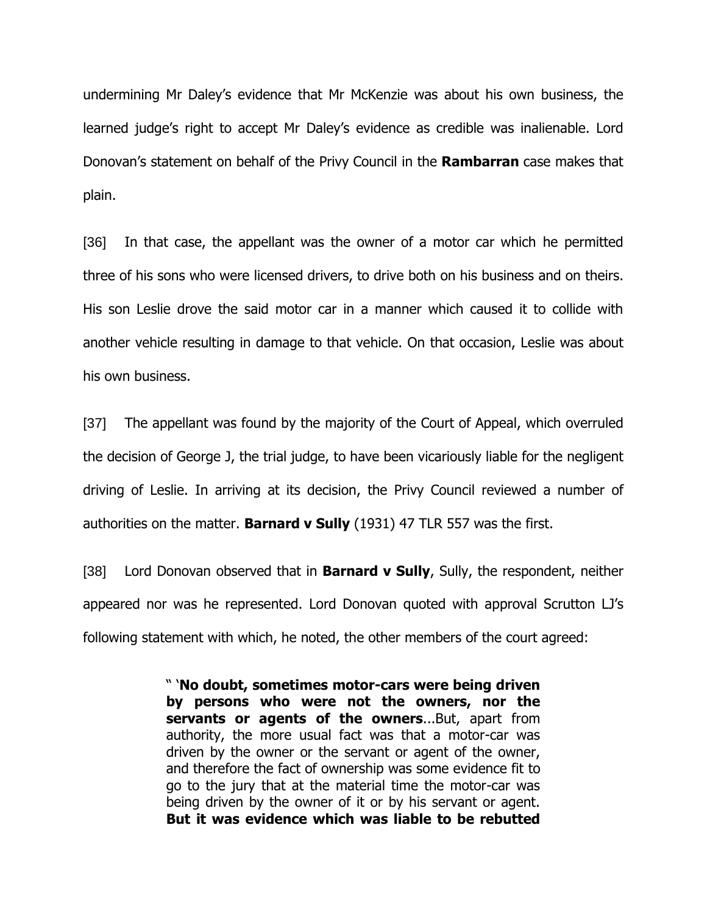undermining Mr Daley"s evidence that Mr McKenzie was about his own business, the learned judge"s right to accept Mr Daley"s evidence as credible was inalienable. Lord Donovan"s statement on behalf of the Privy Council in the **Rambarran** case makes that plain.

[36] In that case, the appellant was the owner of a motor car which he permitted three of his sons who were licensed drivers, to drive both on his business and on theirs. His son Leslie drove the said motor car in a manner which caused it to collide with another vehicle resulting in damage to that vehicle. On that occasion, Leslie was about his own business.

[37] The appellant was found by the majority of the Court of Appeal, which overruled the decision of George J, the trial judge, to have been vicariously liable for the negligent driving of Leslie. In arriving at its decision, the Privy Council reviewed a number of authorities on the matter. **Barnard v Sully** (1931) 47 TLR 557 was the first.

[38] Lord Donovan observed that in **Barnard v Sully**, Sully, the respondent, neither appeared nor was he represented. Lord Donovan quoted with approval Scrutton LJ"s following statement with which, he noted, the other members of the court agreed:

> " "**No doubt, sometimes motor-cars were being driven by persons who were not the owners, nor the servants or agents of the owners**...But, apart from authority, the more usual fact was that a motor-car was driven by the owner or the servant or agent of the owner, and therefore the fact of ownership was some evidence fit to go to the jury that at the material time the motor-car was being driven by the owner of it or by his servant or agent. **But it was evidence which was liable to be rebutted**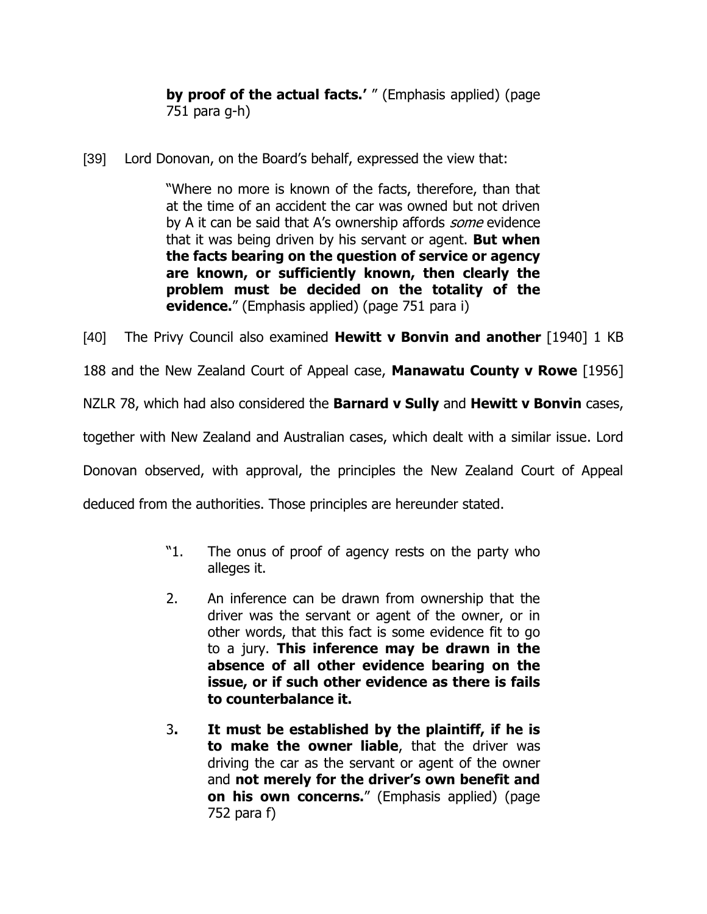**by proof of the actual facts.'** " (Emphasis applied) (page 751 para g-h)

[39] Lord Donovan, on the Board's behalf, expressed the view that:

"Where no more is known of the facts, therefore, than that at the time of an accident the car was owned but not driven by A it can be said that A's ownership affords some evidence that it was being driven by his servant or agent. **But when the facts bearing on the question of service or agency are known, or sufficiently known, then clearly the problem must be decided on the totality of the evidence.**" (Emphasis applied) (page 751 para i)

[40] The Privy Council also examined **Hewitt v Bonvin and another** [1940] 1 KB 188 and the New Zealand Court of Appeal case, **Manawatu County v Rowe** [1956] NZLR 78, which had also considered the **Barnard v Sully** and **Hewitt v Bonvin** cases, together with New Zealand and Australian cases, which dealt with a similar issue. Lord Donovan observed, with approval, the principles the New Zealand Court of Appeal deduced from the authorities. Those principles are hereunder stated.

- "1. The onus of proof of agency rests on the party who alleges it.
- 2. An inference can be drawn from ownership that the driver was the servant or agent of the owner, or in other words, that this fact is some evidence fit to go to a jury. **This inference may be drawn in the absence of all other evidence bearing on the issue, or if such other evidence as there is fails to counterbalance it.**
- 3**. It must be established by the plaintiff, if he is to make the owner liable**, that the driver was driving the car as the servant or agent of the owner and **not merely for the driver's own benefit and on his own concerns.**" (Emphasis applied) (page 752 para f)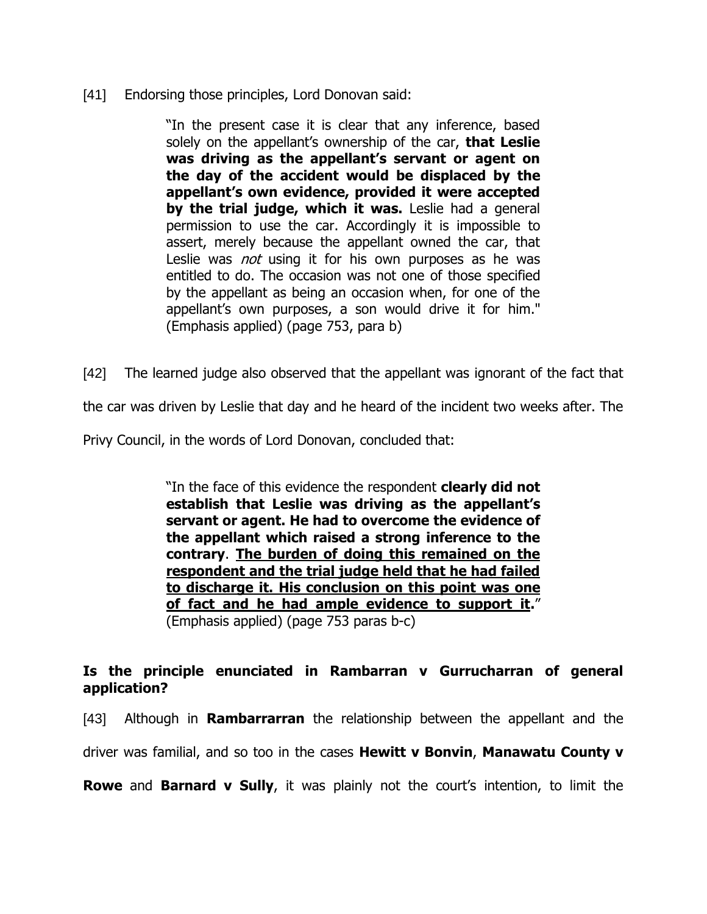## [41] Endorsing those principles, Lord Donovan said:

"In the present case it is clear that any inference, based solely on the appellant's ownership of the car, **that Leslie was driving as the appellant's servant or agent on the day of the accident would be displaced by the appellant's own evidence, provided it were accepted by the trial judge, which it was.** Leslie had a general permission to use the car. Accordingly it is impossible to assert, merely because the appellant owned the car, that Leslie was *not* using it for his own purposes as he was entitled to do. The occasion was not one of those specified by the appellant as being an occasion when, for one of the appellant"s own purposes, a son would drive it for him." (Emphasis applied) (page 753, para b)

[42] The learned judge also observed that the appellant was ignorant of the fact that

the car was driven by Leslie that day and he heard of the incident two weeks after. The

Privy Council, in the words of Lord Donovan, concluded that:

"In the face of this evidence the respondent **clearly did not establish that Leslie was driving as the appellant's servant or agent. He had to overcome the evidence of the appellant which raised a strong inference to the contrary**. **The burden of doing this remained on the respondent and the trial judge held that he had failed to discharge it. His conclusion on this point was one of fact and he had ample evidence to support it.**" (Emphasis applied) (page 753 paras b-c)

## **Is the principle enunciated in Rambarran v Gurrucharran of general application?**

[43] Although in **Rambarrarran** the relationship between the appellant and the driver was familial, and so too in the cases **Hewitt v Bonvin**, **Manawatu County v** 

**Rowe** and **Barnard v Sully**, it was plainly not the court's intention, to limit the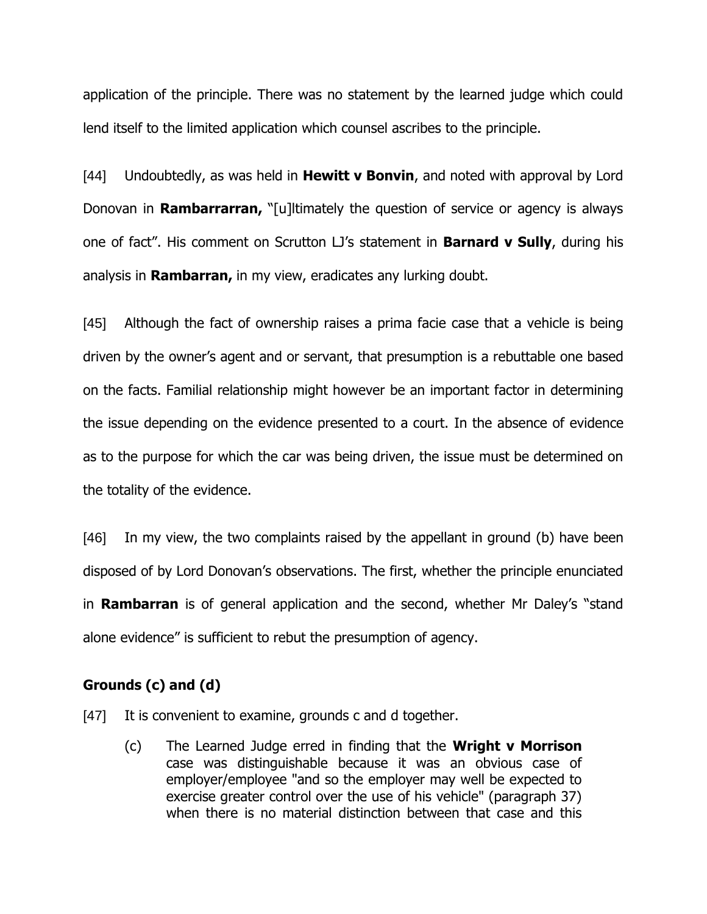application of the principle. There was no statement by the learned judge which could lend itself to the limited application which counsel ascribes to the principle.

[44] Undoubtedly, as was held in **Hewitt v Bonvin**, and noted with approval by Lord Donovan in **Rambarrarran,** "[u]ltimately the question of service or agency is always one of fact". His comment on Scrutton LJ"s statement in **Barnard v Sully**, during his analysis in **Rambarran,** in my view, eradicates any lurking doubt.

[45] Although the fact of ownership raises a prima facie case that a vehicle is being driven by the owner"s agent and or servant, that presumption is a rebuttable one based on the facts. Familial relationship might however be an important factor in determining the issue depending on the evidence presented to a court. In the absence of evidence as to the purpose for which the car was being driven, the issue must be determined on the totality of the evidence.

[46] In my view, the two complaints raised by the appellant in ground (b) have been disposed of by Lord Donovan's observations. The first, whether the principle enunciated in **Rambarran** is of general application and the second, whether Mr Daley"s "stand alone evidence" is sufficient to rebut the presumption of agency.

## **Grounds (c) and (d)**

[47] It is convenient to examine, grounds c and d together.

(c) The Learned Judge erred in finding that the **Wright v Morrison** case was distinguishable because it was an obvious case of employer/employee "and so the employer may well be expected to exercise greater control over the use of his vehicle" (paragraph 37) when there is no material distinction between that case and this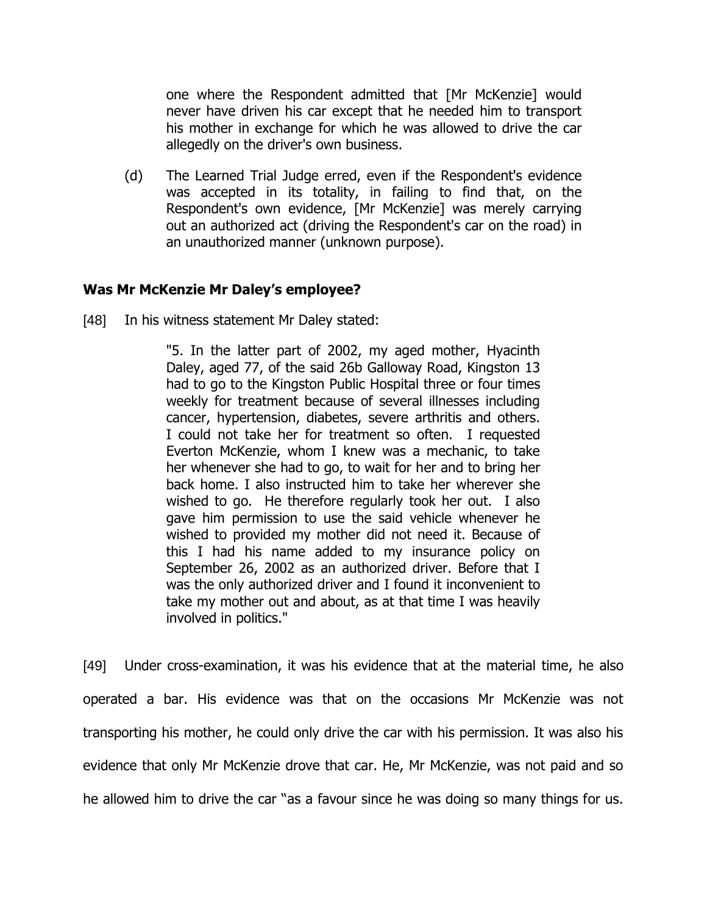one where the Respondent admitted that [Mr McKenzie] would never have driven his car except that he needed him to transport his mother in exchange for which he was allowed to drive the car allegedly on the driver's own business.

(d) The Learned Trial Judge erred, even if the Respondent's evidence was accepted in its totality, in failing to find that, on the Respondent's own evidence, [Mr McKenzie] was merely carrying out an authorized act (driving the Respondent's car on the road) in an unauthorized manner (unknown purpose).

## **Was Mr McKenzie Mr Daley's employee?**

[48] In his witness statement Mr Daley stated:

"5. In the latter part of 2002, my aged mother, Hyacinth Daley, aged 77, of the said 26b Galloway Road, Kingston 13 had to go to the Kingston Public Hospital three or four times weekly for treatment because of several illnesses including cancer, hypertension, diabetes, severe arthritis and others. I could not take her for treatment so often. I requested Everton McKenzie, whom I knew was a mechanic, to take her whenever she had to go, to wait for her and to bring her back home. I also instructed him to take her wherever she wished to go. He therefore regularly took her out. I also gave him permission to use the said vehicle whenever he wished to provided my mother did not need it. Because of this I had his name added to my insurance policy on September 26, 2002 as an authorized driver. Before that I was the only authorized driver and I found it inconvenient to take my mother out and about, as at that time I was heavily involved in politics."

[49] Under cross-examination, it was his evidence that at the material time, he also operated a bar. His evidence was that on the occasions Mr McKenzie was not transporting his mother, he could only drive the car with his permission. It was also his evidence that only Mr McKenzie drove that car. He, Mr McKenzie, was not paid and so he allowed him to drive the car "as a favour since he was doing so many things for us.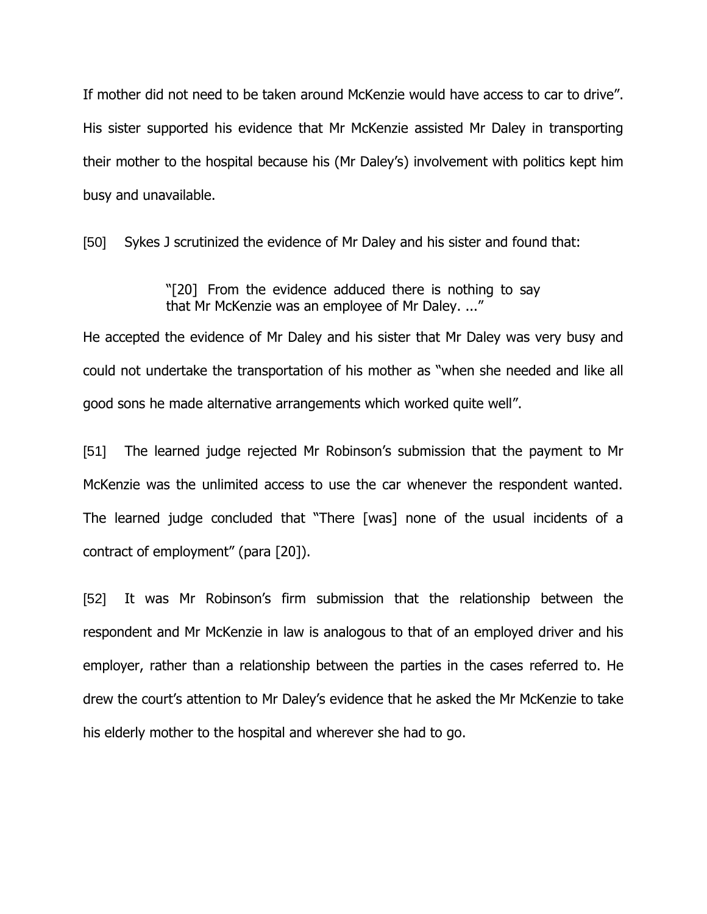If mother did not need to be taken around McKenzie would have access to car to drive". His sister supported his evidence that Mr McKenzie assisted Mr Daley in transporting their mother to the hospital because his (Mr Daley"s) involvement with politics kept him busy and unavailable.

[50] Sykes J scrutinized the evidence of Mr Daley and his sister and found that:

## "[20] From the evidence adduced there is nothing to say that Mr McKenzie was an employee of Mr Daley. ..."

He accepted the evidence of Mr Daley and his sister that Mr Daley was very busy and could not undertake the transportation of his mother as "when she needed and like all good sons he made alternative arrangements which worked quite well".

[51] The learned judge rejected Mr Robinson's submission that the payment to Mr McKenzie was the unlimited access to use the car whenever the respondent wanted. The learned judge concluded that "There [was] none of the usual incidents of a contract of employment" (para [20]).

[52] It was Mr Robinson's firm submission that the relationship between the respondent and Mr McKenzie in law is analogous to that of an employed driver and his employer, rather than a relationship between the parties in the cases referred to. He drew the court's attention to Mr Daley's evidence that he asked the Mr McKenzie to take his elderly mother to the hospital and wherever she had to go.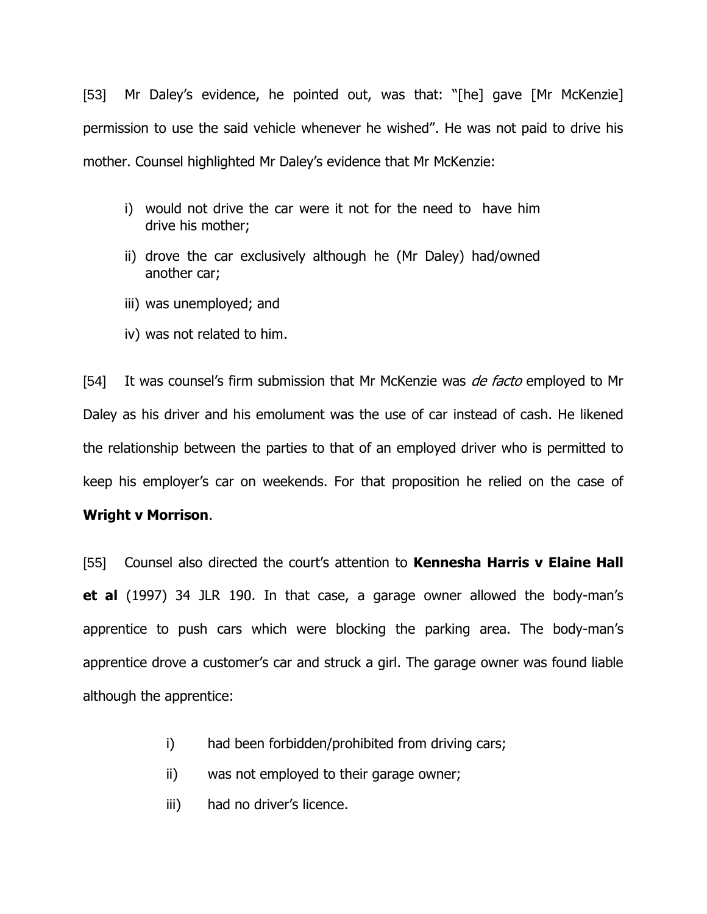[53] Mr Daley's evidence, he pointed out, was that: "[he] gave [Mr McKenzie] permission to use the said vehicle whenever he wished". He was not paid to drive his mother. Counsel highlighted Mr Daley"s evidence that Mr McKenzie:

- i) would not drive the car were it not for the need to have him drive his mother;
- ii) drove the car exclusively although he (Mr Daley) had/owned another car;
- iii) was unemployed; and
- iv) was not related to him.

[54] It was counsel's firm submission that Mr McKenzie was *de facto* employed to Mr Daley as his driver and his emolument was the use of car instead of cash. He likened the relationship between the parties to that of an employed driver who is permitted to keep his employer"s car on weekends. For that proposition he relied on the case of

## **Wright v Morrison**.

[55] Counsel also directed the court's attention to **Kennesha Harris v Elaine Hall et al** (1997) 34 JLR 190. In that case, a garage owner allowed the body-man"s apprentice to push cars which were blocking the parking area. The body-man"s apprentice drove a customer's car and struck a girl. The garage owner was found liable although the apprentice:

- i) had been forbidden/prohibited from driving cars;
- ii) was not employed to their garage owner;
- iii) had no driver's licence.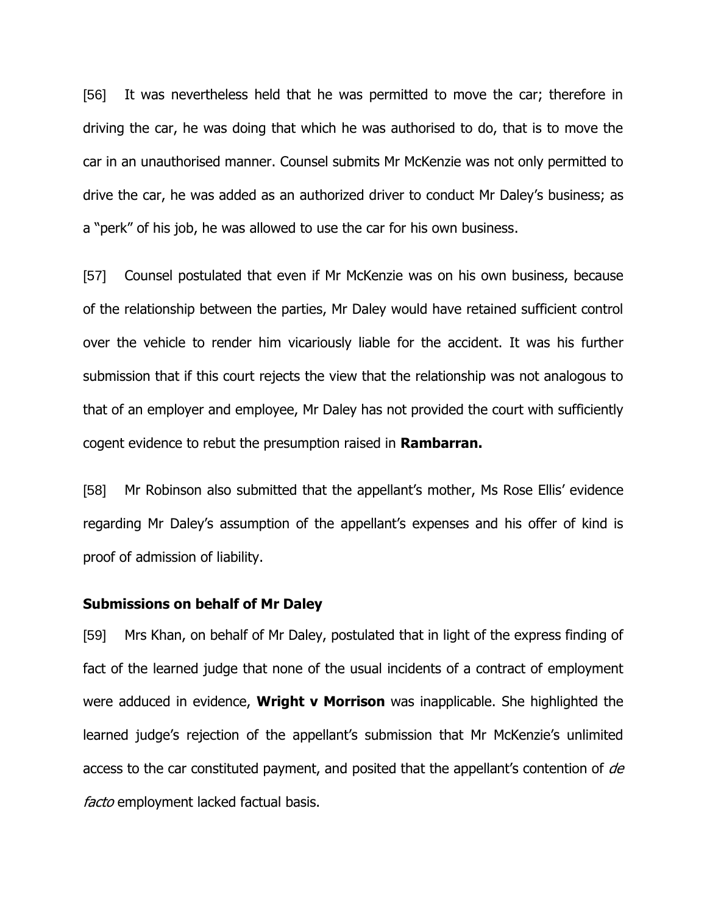[56] It was nevertheless held that he was permitted to move the car; therefore in driving the car, he was doing that which he was authorised to do, that is to move the car in an unauthorised manner. Counsel submits Mr McKenzie was not only permitted to drive the car, he was added as an authorized driver to conduct Mr Daley"s business; as a "perk" of his job, he was allowed to use the car for his own business.

[57] Counsel postulated that even if Mr McKenzie was on his own business, because of the relationship between the parties, Mr Daley would have retained sufficient control over the vehicle to render him vicariously liable for the accident. It was his further submission that if this court rejects the view that the relationship was not analogous to that of an employer and employee, Mr Daley has not provided the court with sufficiently cogent evidence to rebut the presumption raised in **Rambarran.**

[58] Mr Robinson also submitted that the appellant's mother, Ms Rose Ellis' evidence regarding Mr Daley"s assumption of the appellant"s expenses and his offer of kind is proof of admission of liability.

#### **Submissions on behalf of Mr Daley**

[59] Mrs Khan, on behalf of Mr Daley, postulated that in light of the express finding of fact of the learned judge that none of the usual incidents of a contract of employment were adduced in evidence, **Wright v Morrison** was inapplicable. She highlighted the learned judge's rejection of the appellant's submission that Mr McKenzie's unlimited access to the car constituted payment, and posited that the appellant's contention of de facto employment lacked factual basis.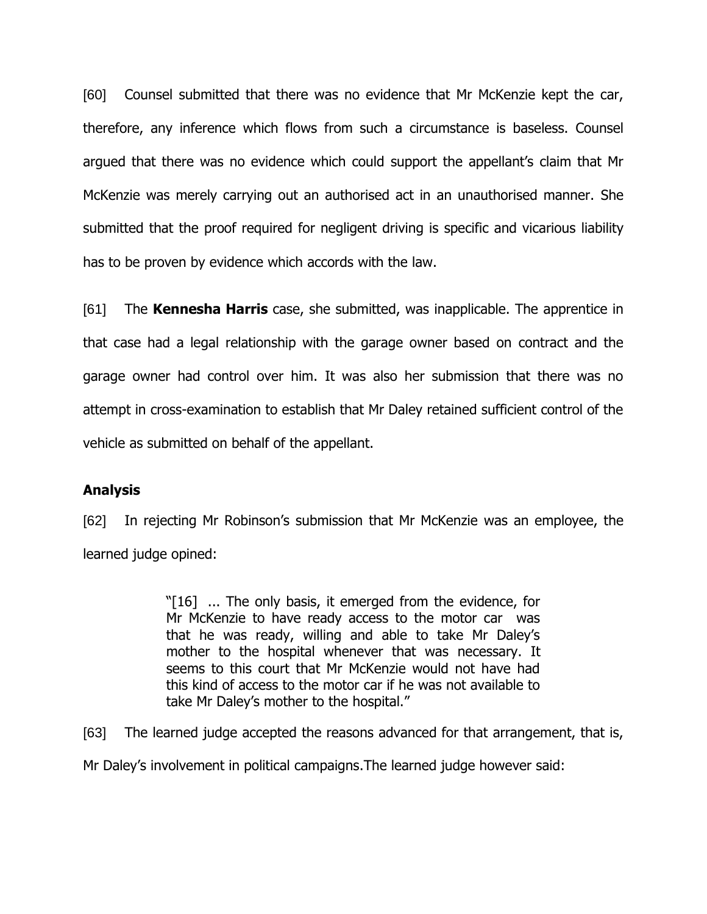[60] Counsel submitted that there was no evidence that Mr McKenzie kept the car, therefore, any inference which flows from such a circumstance is baseless. Counsel argued that there was no evidence which could support the appellant"s claim that Mr McKenzie was merely carrying out an authorised act in an unauthorised manner. She submitted that the proof required for negligent driving is specific and vicarious liability has to be proven by evidence which accords with the law.

[61] The **Kennesha Harris** case, she submitted, was inapplicable. The apprentice in that case had a legal relationship with the garage owner based on contract and the garage owner had control over him. It was also her submission that there was no attempt in cross-examination to establish that Mr Daley retained sufficient control of the vehicle as submitted on behalf of the appellant.

## **Analysis**

[62] In rejecting Mr Robinson"s submission that Mr McKenzie was an employee, the learned judge opined:

> "[16] ... The only basis, it emerged from the evidence, for Mr McKenzie to have ready access to the motor car was that he was ready, willing and able to take Mr Daley"s mother to the hospital whenever that was necessary. It seems to this court that Mr McKenzie would not have had this kind of access to the motor car if he was not available to take Mr Daley"s mother to the hospital."

[63] The learned judge accepted the reasons advanced for that arrangement, that is,

Mr Daley"s involvement in political campaigns.The learned judge however said: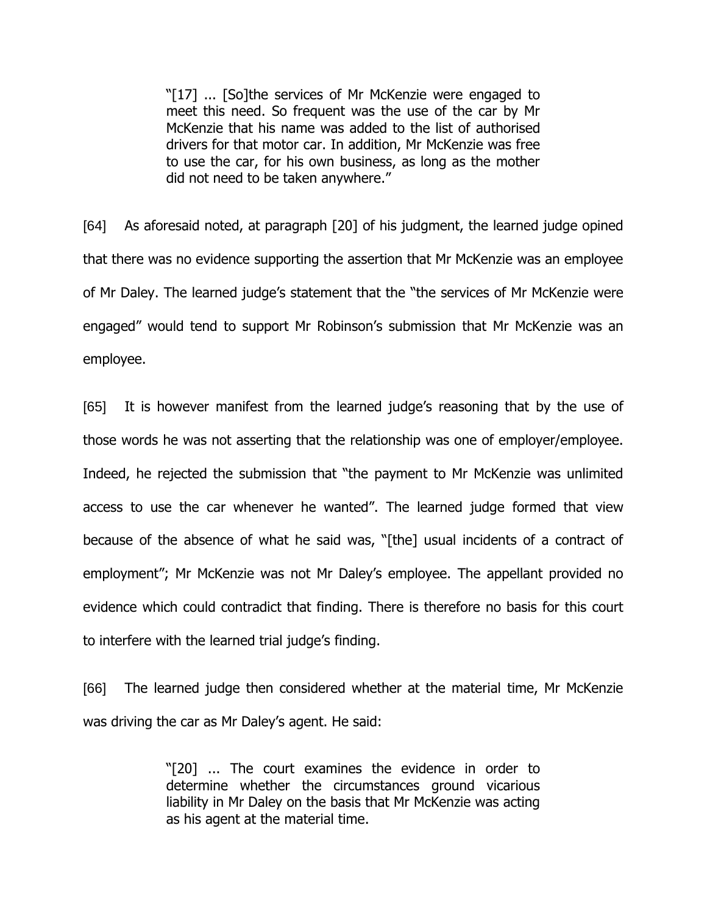"[17] ... [So]the services of Mr McKenzie were engaged to meet this need. So frequent was the use of the car by Mr McKenzie that his name was added to the list of authorised drivers for that motor car. In addition, Mr McKenzie was free to use the car, for his own business, as long as the mother did not need to be taken anywhere."

[64] As aforesaid noted, at paragraph [20] of his judgment, the learned judge opined that there was no evidence supporting the assertion that Mr McKenzie was an employee of Mr Daley. The learned judge"s statement that the "the services of Mr McKenzie were engaged" would tend to support Mr Robinson"s submission that Mr McKenzie was an employee.

[65] It is however manifest from the learned judge"s reasoning that by the use of those words he was not asserting that the relationship was one of employer/employee. Indeed, he rejected the submission that "the payment to Mr McKenzie was unlimited access to use the car whenever he wanted". The learned judge formed that view because of the absence of what he said was, "[the] usual incidents of a contract of employment"; Mr McKenzie was not Mr Daley"s employee. The appellant provided no evidence which could contradict that finding. There is therefore no basis for this court to interfere with the learned trial judge"s finding.

[66] The learned judge then considered whether at the material time, Mr McKenzie was driving the car as Mr Daley's agent. He said:

> "[20] ... The court examines the evidence in order to determine whether the circumstances ground vicarious liability in Mr Daley on the basis that Mr McKenzie was acting as his agent at the material time.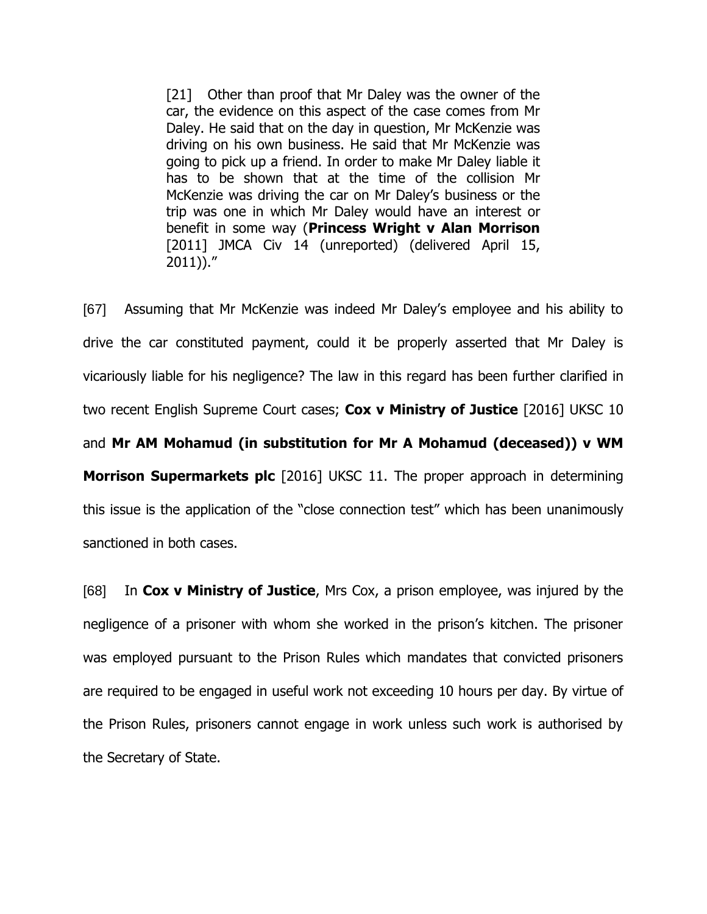[21] Other than proof that Mr Daley was the owner of the car, the evidence on this aspect of the case comes from Mr Daley. He said that on the day in question, Mr McKenzie was driving on his own business. He said that Mr McKenzie was going to pick up a friend. In order to make Mr Daley liable it has to be shown that at the time of the collision Mr McKenzie was driving the car on Mr Daley"s business or the trip was one in which Mr Daley would have an interest or benefit in some way (**Princess Wright v Alan Morrison** [2011] JMCA Civ 14 (unreported) (delivered April 15, 2011))."

[67] Assuming that Mr McKenzie was indeed Mr Daley"s employee and his ability to drive the car constituted payment, could it be properly asserted that Mr Daley is vicariously liable for his negligence? The law in this regard has been further clarified in two recent English Supreme Court cases; **Cox v Ministry of Justice** [2016] UKSC 10 and **Mr AM Mohamud (in substitution for Mr A Mohamud (deceased)) v WM Morrison Supermarkets plc** [2016] UKSC 11. The proper approach in determining this issue is the application of the "close connection test" which has been unanimously sanctioned in both cases.

[68] In **Cox v Ministry of Justice**, Mrs Cox, a prison employee, was injured by the negligence of a prisoner with whom she worked in the prison's kitchen. The prisoner was employed pursuant to the Prison Rules which mandates that convicted prisoners are required to be engaged in useful work not exceeding 10 hours per day. By virtue of the Prison Rules, prisoners cannot engage in work unless such work is authorised by the Secretary of State.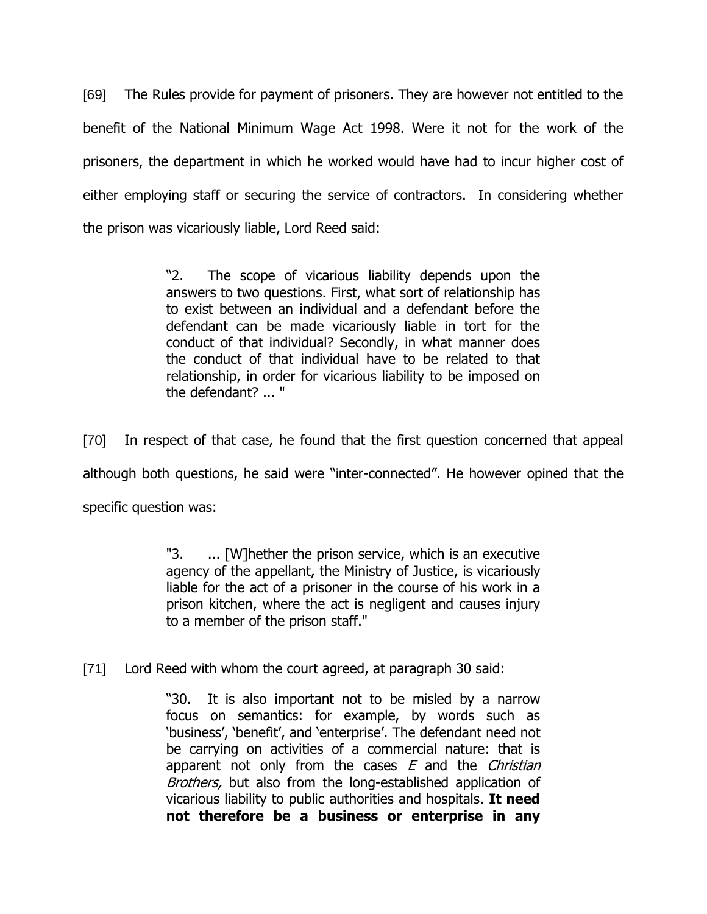[69] The Rules provide for payment of prisoners. They are however not entitled to the benefit of the National Minimum Wage Act 1998. Were it not for the work of the prisoners, the department in which he worked would have had to incur higher cost of either employing staff or securing the service of contractors. In considering whether the prison was vicariously liable, Lord Reed said:

> "2. The scope of vicarious liability depends upon the answers to two questions. First, what sort of relationship has to exist between an individual and a defendant before the defendant can be made vicariously liable in tort for the conduct of that individual? Secondly, in what manner does the conduct of that individual have to be related to that relationship, in order for vicarious liability to be imposed on the defendant? ... "

[70] In respect of that case, he found that the first question concerned that appeal although both questions, he said were "inter-connected". He however opined that the specific question was:

> "3. ... [W] hether the prison service, which is an executive agency of the appellant, the Ministry of Justice, is vicariously liable for the act of a prisoner in the course of his work in a prison kitchen, where the act is negligent and causes injury to a member of the prison staff."

[71] Lord Reed with whom the court agreed, at paragraph 30 said:

"30. It is also important not to be misled by a narrow focus on semantics: for example, by words such as 'business', 'benefit', and 'enterprise'. The defendant need not be carrying on activities of a commercial nature: that is apparent not only from the cases  $E$  and the *Christian* Brothers, but also from the long-established application of vicarious liability to public authorities and hospitals. **It need not therefore be a business or enterprise in any**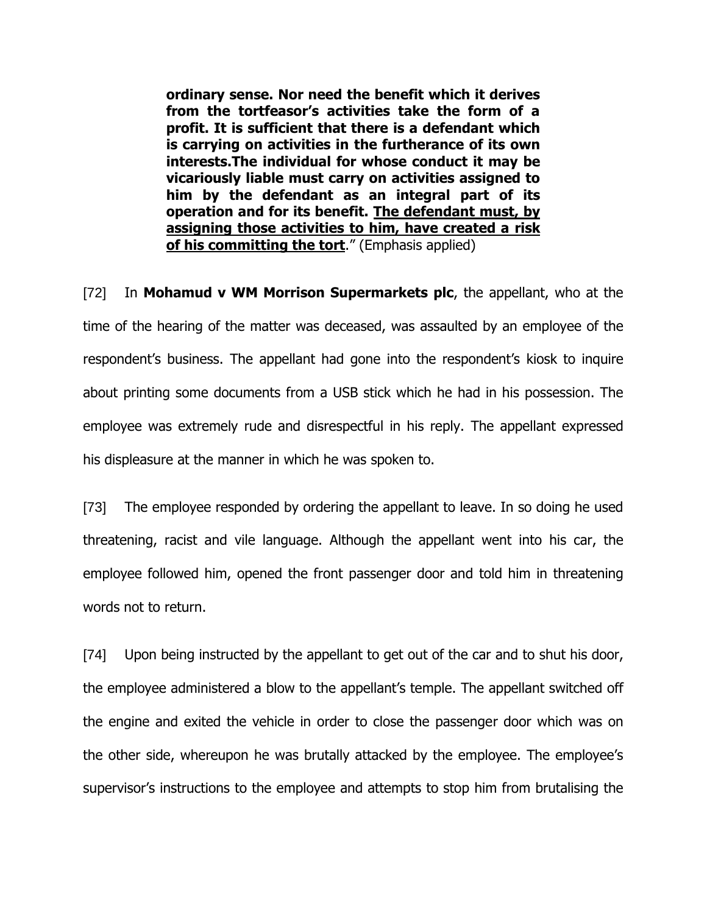**ordinary sense. Nor need the benefit which it derives from the tortfeasor's activities take the form of a profit. It is sufficient that there is a defendant which is carrying on activities in the furtherance of its own interests.The individual for whose conduct it may be vicariously liable must carry on activities assigned to him by the defendant as an integral part of its operation and for its benefit. The defendant must, by assigning those activities to him, have created a risk of his committing the tort**." (Emphasis applied)

[72] In **Mohamud v WM Morrison Supermarkets plc**, the appellant, who at the time of the hearing of the matter was deceased, was assaulted by an employee of the respondent's business. The appellant had gone into the respondent's kiosk to inquire about printing some documents from a USB stick which he had in his possession. The employee was extremely rude and disrespectful in his reply. The appellant expressed his displeasure at the manner in which he was spoken to.

[73] The employee responded by ordering the appellant to leave. In so doing he used threatening, racist and vile language. Although the appellant went into his car, the employee followed him, opened the front passenger door and told him in threatening words not to return.

[74] Upon being instructed by the appellant to get out of the car and to shut his door, the employee administered a blow to the appellant"s temple. The appellant switched off the engine and exited the vehicle in order to close the passenger door which was on the other side, whereupon he was brutally attacked by the employee. The employee's supervisor's instructions to the employee and attempts to stop him from brutalising the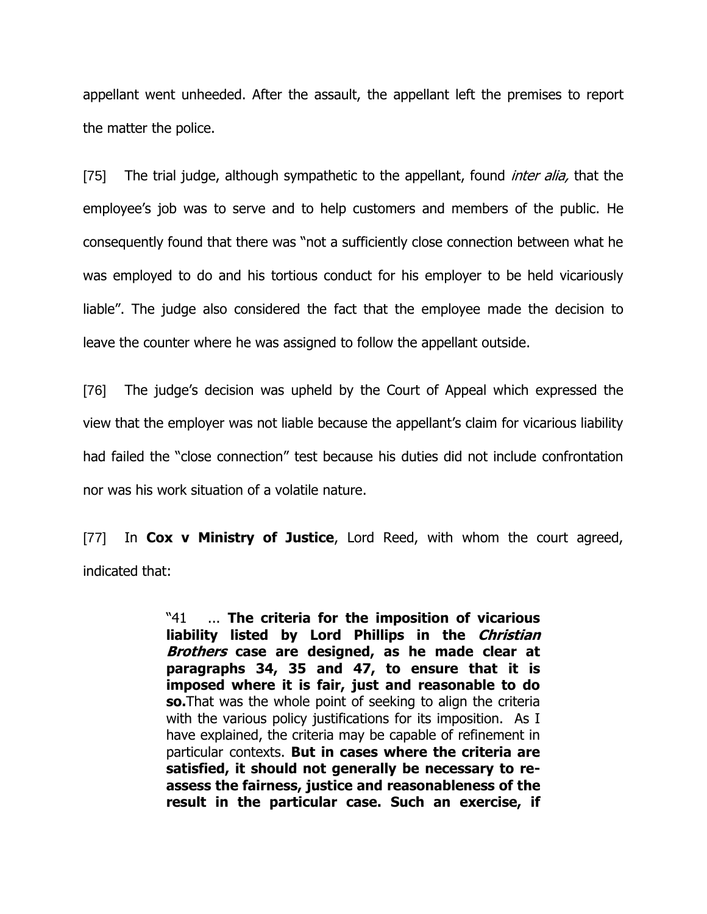appellant went unheeded. After the assault, the appellant left the premises to report the matter the police.

[75] The trial judge, although sympathetic to the appellant, found *inter alia*, that the employee"s job was to serve and to help customers and members of the public. He consequently found that there was "not a sufficiently close connection between what he was employed to do and his tortious conduct for his employer to be held vicariously liable". The judge also considered the fact that the employee made the decision to leave the counter where he was assigned to follow the appellant outside.

[76] The judge's decision was upheld by the Court of Appeal which expressed the view that the employer was not liable because the appellant"s claim for vicarious liability had failed the "close connection" test because his duties did not include confrontation nor was his work situation of a volatile nature.

[77] In **Cox v Ministry of Justice**, Lord Reed, with whom the court agreed, indicated that:

> "41 ... **The criteria for the imposition of vicarious liability listed by Lord Phillips in the Christian Brothers case are designed, as he made clear at paragraphs 34, 35 and 47, to ensure that it is imposed where it is fair, just and reasonable to do so.**That was the whole point of seeking to align the criteria with the various policy justifications for its imposition. As I have explained, the criteria may be capable of refinement in particular contexts. **But in cases where the criteria are satisfied, it should not generally be necessary to reassess the fairness, justice and reasonableness of the result in the particular case. Such an exercise, if**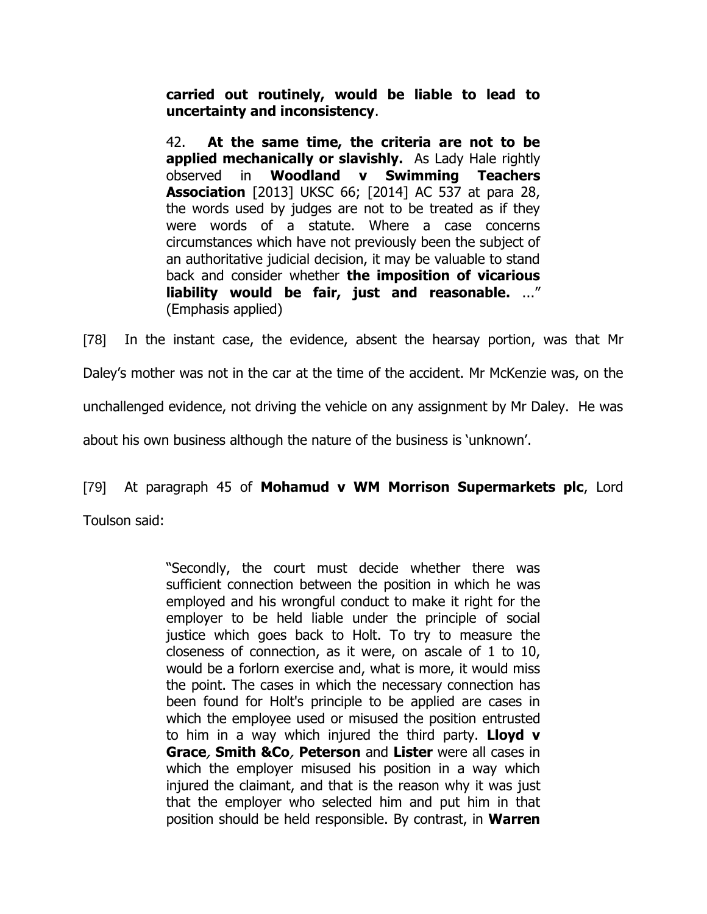**carried out routinely, would be liable to lead to uncertainty and inconsistency**.

42. **At the same time, the criteria are not to be applied mechanically or slavishly.** As Lady Hale rightly observed in **Woodland v Swimming Teachers Association** [2013] UKSC 66; [2014] AC 537 at para 28, the words used by judges are not to be treated as if they were words of a statute. Where a case concerns circumstances which have not previously been the subject of an authoritative judicial decision, it may be valuable to stand back and consider whether **the imposition of vicarious liability would be fair, just and reasonable.** ..." (Emphasis applied)

[78] In the instant case, the evidence, absent the hearsay portion, was that Mr Daley"s mother was not in the car at the time of the accident. Mr McKenzie was, on the unchallenged evidence, not driving the vehicle on any assignment by Mr Daley. He was about his own business although the nature of the business is "unknown".

## [79] At paragraph 45 of **Mohamud v WM Morrison Supermarkets plc**, Lord

Toulson said:

"Secondly, the court must decide whether there was sufficient connection between the position in which he was employed and his wrongful conduct to make it right for the employer to be held liable under the principle of social justice which goes back to Holt. To try to measure the closeness of connection, as it were, on ascale of 1 to 10, would be a forlorn exercise and, what is more, it would miss the point. The cases in which the necessary connection has been found for Holt's principle to be applied are cases in which the employee used or misused the position entrusted to him in a way which injured the third party. **Lloyd v Grace**, **Smith &Co**, **Peterson** and **Lister** were all cases in which the employer misused his position in a way which injured the claimant, and that is the reason why it was just that the employer who selected him and put him in that position should be held responsible. By contrast, in **Warren**